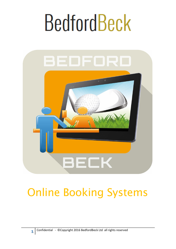

### Online Booking Systems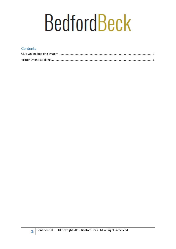#### **Contents**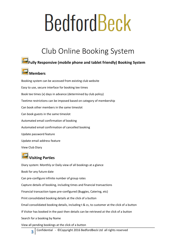### Club Online Booking System

#### <span id="page-2-0"></span>**Fully Responsive (mobile phone and tablet friendly) Booking System**



Booking system can be accessed from existing club website Easy to use, secure interface for booking tee times Book tee times (x) days in advance (determined by club policy) Teetime restrictions can be imposed based on category of membership Can book other members in the same timeslot Can book guests in the same timeslot Automated email confirmation of booking Automated email confirmation of cancelled booking Update password feature Update email address feature View Club Diary

#### **Visiting Parties**

Diary system: Monthly or Daily view of all bookings at a glance Book for any future date Can pre-configure infinite number of group rates Capture details of booking, including times and financial transactions Financial transaction types pre-configured (Buggies, Catering, etc) Print consolidated booking details at the click of a button Email consolidated booking details, including t & cs, to customer at the click of a button If Visitor has booked in the past then details can be retrieved at the click of a button Search for a booking by Name View all pending bookings at the click of a button

Confidential - ©Copyright 2016 BedfordBeck Ltd all rights reserved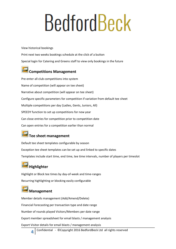View historical bookings

Print next two weeks bookings schedule at the click of a button Special login for Catering and Greens staff to view only bookings in the future

### **Competitions Management**

Pre-enter all club competitions into system Name of competition (will appear on tee sheet) Narrative about competition (will appear on tee sheet) Configure specific parameters for competition if variation from default tee sheet Multiple competitions per day (Ladies, Gents, Juniors, All) SPEEDY function to set up competitions for new year Can close entries for competition prior to competition date Can open entries for a competition earlier than normal

#### **Tee sheet management**

Default tee sheet templates configurable by season Exception tee sheet templates can be set up and linked to specific dates Templates include start time, end time, tee time intervals, number of players per timeslot

### **Highlighter**

Highlight or Block tee times by day-of-week and time-ranges Recurring highlighting or blocking easily configurable

#### **Management**

**4**

Member details management (Add/Amend/Delete) Financial Forecasting per transaction type and date range Number of rounds played Visitors/Members per date range Export member spreadsheet for email blasts / management analysis Export Visitor details for email blasts / management analysis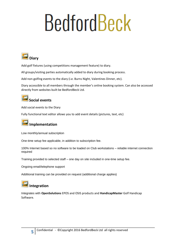

Add golf fixtures (using competitions management feature) to diary.

All groups/visiting parties automatically added to diary during booking process.

Add non-golfing events to the diary (i.e. Burns Night, Valentines Dinner, etc).

Diary accessible to all members through the member's online booking system. Can also be accessed directly from websites built be BedfordBeck Ltd.



Add social events to the Diary

Fully functional text editor allows you to add event details (pictures, text, etc)



#### **Implementation**

Low monthly/annual subscription

One-time setup fee applicable, in addition to subscription fee.

100% Internet based so no software to be loaded on Club workstations – reliable internet connection required

Training provided to selected staff – one day on site included in one-time setup fee.

Ongoing email/telephone support

Additional training can be provided on request (additional charge applies)

### **Integration**

Integrates with **OpenSolutions** EPOS and OSIS products and **HandicapMaster** Golf Handicap Software.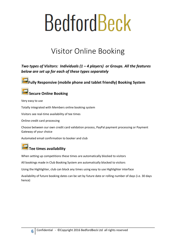### Visitor Online Booking

<span id="page-5-0"></span>*Two types of Visitors: Individuals (1 – 4 players) or Groups. All the features below are set up for each of these types separately*

**Fully Responsive (mobile phone and tablet friendly) Booking System**



#### **Secure Online Booking**

Very easy to use

Totally integrated with Members online booking system

Visitors see real-time availability of tee times

Online credit card processing

Choose between our own credit card validation process, PayPal payment processing or Payment Gateway of your choice

Automated email confirmation to booker and club

#### **Tee times availability**

When setting up competitions these times are automatically blocked to visitors

All bookings made in Club Booking System are automatically blocked to visitors

Using the Highlighter, club can block any times using easy to use Highlighter interface

Availability of future booking dates can be set by future date or rolling number of days (i.e. 30 days hence)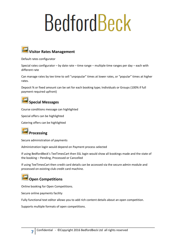

Default rates configurator

Special rates configurator – by date rate – time range – multiple time ranges per day – each with different rate

Can manage rates by tee time to sell "unpopular" times at lower rates, or "popular" times at higher rates.

Deposit % or fixed amount can be set for each booking type; Individuals or Groups (100% if full payment required upfront)



Course conditions message can highlighted

Special offers can be highlighted

Catering offers can be highlighted

### **Processing**

Secure administration of payments

Administration login would depend on Payment process selected

If using BedfordBeck's TeeTimesCart then SSL login would show all bookings made and the state of the booking – Pending, Processed or Cancelled

If using TeeTimesCart then credit card details can be accessed via the secure admin module and processed on existing club credit card machine.

### **Open Competitions**

Online booking for Open Competitions.

Secure online payments facility

Fully functional text editor allows you to add rich content details about an open competition.

Supports multiple formats of open competitions.